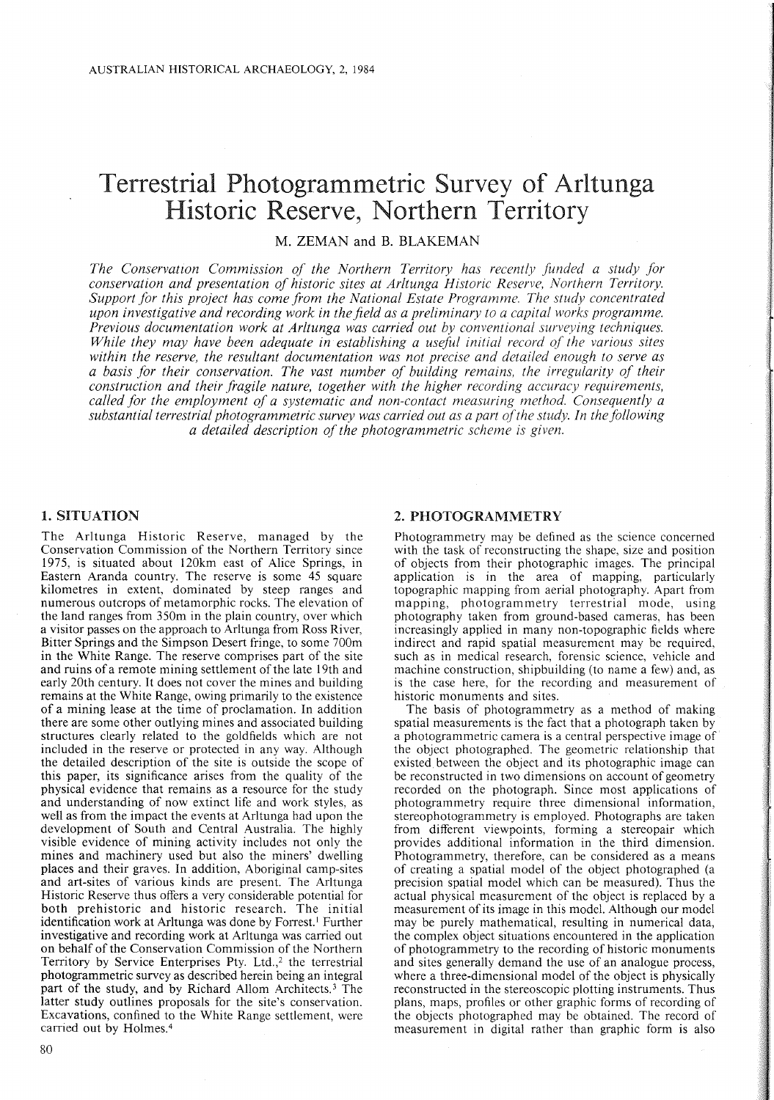# Terrestrial Photogrammetric Survey of Arltunga Historic Reserve, Northern Territory

M. ZEMAN and B. BLAKEMAN

*The Conservatzon Commission of the Northern Territory has recently funded a study for conservation and presentation of historic sites at Arltunga Historic Reserve, Northern Territory. Support for this project has come from the National Estate Programme. The study concentrated upon investigative and recording work in thefield as a preliminary to a capital works programme. Previous documentation work at Arltunga was carried out by conventional surveying techniques. While they may have been adequate in establishing a useful initial record of the various sites within the reserve, the resultant documentation was not precise and detailed enough to serve as a basis for their conservation. The vast number of building remains, the irregularity of their construction and their fragile nature, together with the higher recording accuracy requirements, called for the employment of a systematic and non-contact measuring method. Consequently a substantial terrestrial photogrammetric survey was carried out as a part ofthe study. In the following a detailed description ofthe photogrammetric scheme is given.*

## 1. SITUATION

The Arltunga Historic Reserve, managed by the Conservation Commission of the Northern Territory since 1975, is situated about 120km east of Alice Springs, in Eastern Aranda country. The reserve is some 45 square kilometres in extent, dominated by steep ranges and numerous outcrops of metamorphic rocks. The elevation of the land ranges from 350m in the plain country, over which a visitor passes on the approach to Arltunga from Ross River, Bitter Springs and the Simpson Desert fringe, to some 700m in the White Range. The reserve comprises part of the site and ruins of a remote mining settlement of the late 19th and early 20th century. It does not cover the mines and building remains at the White Range, owing primarily to the existence of a mining lease at the time of proclamation. In addition there are some other outlying mines and associated building structures clearly related to the goldfields which are not included in the reserve or protected in any way. Although the detailed description of the site is outside the scope of this paper, its significance arises from the quality of the physical evidence that remains as a resource for the study and understanding of now extinct life and work styles, as well as from the impact the events at Arltunga had upon the development of South and Central Australia. The highly visible evidence of mining activity includes not only the mines and machinery used but also the miners' dwelling places and their graves. In addition, Aboriginal camp-sites and art-sites of various kinds are present. The Arltunga Historic Reserve thus offers a very considerable potential for both prehistoric and historic research. The initial identification work at Arltunga was done by Forrest.' Further investigative and recording work at Arltunga was carried out on behalf of the Conservation Commission of the Northern Territory by Service Enterprises Pty. Ltd.,<sup>2</sup> the terrestrial photogrammetric survey as described herein being an integral part of the study, and by Richard Allom Architects.<sup>3</sup> The latter study outlines proposals for the site's conservation. Excavations, confined to the White Range settlement, were carried out by Holmes.<sup>4</sup>

#### 2. PHOTOGRAMMETRY

Photogrammetry may be defined as the science concerned with the task of reconstructing the shape, size and position of objects from their photographic images. The principal application is in the area of mapping, particularly topographic mapping from aerial photography. Apart from mapping, photogrammetry terrestrial mode, using photography taken from ground-based cameras, has been increasingly applied in many non-topographic fields where indirect and rapid spatial measurement may be required, such as in medical research, forensic science, vehicle and machine construction, shipbuilding (to name a few) and, as is the case here, for the recording and measurement of historic monuments and sites.

The basis of photogrammetry as a method of making spatial measurements is the fact that a photograph taken by a photogrammetric camera is a central perspective image of the object photographed. The geometric relationship that existed between the object and its photographic image can be reconstructed in two dimensions on account of geometry recorded on the photograph. Since most applications of photogrammetry require three dimensional information, stereophotogrammetry is employed. Photographs are taken from different viewpoints, forming a stereopair which provides additional information in the third dimension. Photogrammetry, therefore, can be considered as a means of creating a spatial model of the object photographed (a precision spatial model which can be measured). Thus the actual physical measurement of the object is replaced by a measurement of its image in this model. Although our model may be purely mathematical, resulting in numerical data, the complex object situations encountered in the application of photogrammetry to the recording of historic monuments and sites generally demand the use of an analogue process, where a three-dimensional model of the object is physically reconstructed in the stereoscopic plotting instruments. Thus plans, maps, profiles or other graphic forms of recording of the objects photographed may be obtained. The record of measurement in digital rather than graphic form is also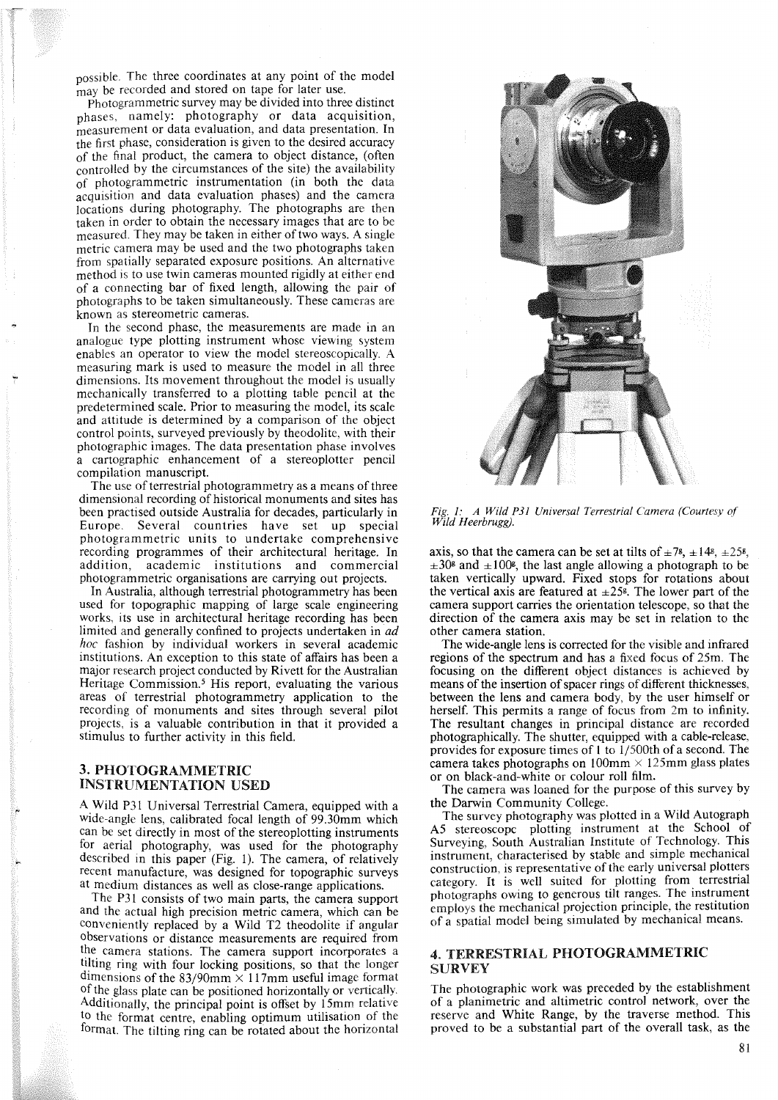possible. The three coordinates at any point of the model may be recorded and stored on tape for later use.

Photogrammetric survey may be divided into three distinct phases, namely: photography or data acquisition, measurement or data evaluation, and data presentation. In the first phase, consideration is given to the desired accuracy of the final product, the camera to object distance, (often controlled by the circumstances of the site) the availability of photogrammetric instrumentation (in both the data acquisition and data evaluation phases) and the camera locations during photography. The photographs are then taken in order to obtain the necessary images that are to be measured. They may be taken in either of two ways. A single metric camera may be used and the two photographs taken from spatially separated exposure positions. An alternative method is to use twin cameras mounted rigidly at either end of a connecting bar of fixed length, allowing the pair of photographs to be taken simultaneously. These cameras are known as stereometric cameras.

In the second phase, the measurements are made in an analogue type plotting instrument whose viewing system enables an operator to view the model stereoscopically. A measuring mark is used to measure the model in all three dimensions. Its movement throughout the model is usually mechanically transferred to a plotting table pencil at the predetermined scale. Prior to measuring the model, its scale and attitude is determined by a comparison of the object control points, surveyed previously by theodolite, with their photographic images. The data presentation phase involves a cartographic enhancement of a stereoplotter pencil compilation manuscript.

The use of terrestrial photogrammetry as a means of three dimensional recording of historical monuments and sites has been practised outside Australia for decades, particularly in Europe. Several countries have set up special photogrammetric units to undertake comprehensive recording programmes of their architectural heritage. In addition, academic institutions and commercial photogrammetric organisations are carrying out projects.

In Australia, although terrestrial photogrammetry has been used for topographic mapping of large scale engineering works, its use in architectural heritage recording has been limited and generally confined to projects undertaken in *ad hoc* fashion by individual workers in several academic institutions. An exception to this state of affairs has been a major research project conducted by Rivett for the Australian Heritage Commission.<sup>5</sup> His report, evaluating the various areas of terrestrial photogrammetry application to the recording of monuments and sites through several pilot projects, is a valuable contribution in that it provided a stimulus to further activity in this field.

# 3. PHOTOGRAMMETRIC INSTRUMENTATION USED

A Wild P31 Universal Terrestrial Camera, equipped with a wide-angle lens, calibrated focal length of 99.30mm which can be set directly in most of the stereoplotting instruments for aerial photography, was used for the photography described in this paper (Fig. 1). The camera, of relatively recent manufacture, was designed for topographic surveys at medium distances as well as close-range applications.

The P31 consists of two main parts, the camera support and the actual high precision metric camera, which can be conveniently replaced by a Wild T2 theodolite if angular observations or distance measurements are required from the camera stations. The camera support incorporates a tilting ring with four locking positions, so that the longer dimensions of the 83/90mm  $\times$  117mm useful image format of the glass plate can be positioned horizontally or vertically. Additionally, the principal point is offset by 15mm relative to the format centre, enabling optimum utilisation of the format. The tilting ring can be rotated about the horizontal



*Fig.* 1: *A Wild P31 Universal Terrestrial Camera (Courtesy of Wild Heerbrugg).*

axis, so that the camera can be set at tilts of  $\pm 7$ <sup>g</sup>,  $\pm 14$ <sup>g</sup>,  $\pm 25$ <sup>g</sup>,  $\pm 30^{\circ}$  and  $\pm 100^{\circ}$ , the last angle allowing a photograph to be taken vertically upward. Fixed stops for rotations about the vertical axis are featured at  $\pm 25$ <sup>g</sup>. The lower part of the camera support carries the orientation telescope, so that the direction of the camera axis may be set in relation to the other camera station.

The wide-angle lens is corrected for the visible and infrared regions of the spectrum and has a fixed focus of 25m. The focusing on the different object distances is achieved by means of the insertion of spacer rings of different thicknesses, between the lens and camera body, by the user himself or herself. This permits a range of focus from 2m to infinity. The resultant changes in principal distance are recorded photographically. The shutter, equipped with a cable-release, provides for exposure times of 1 to 1/500th of a second. The camera takes photographs on  $100 \text{mm} \times 125 \text{mm}$  glass plates or on black-and-white or colour roll film.

The camera was loaned for the purpose of this survey by the Darwin Community College.

The survey photography was plotted in a Wild Autograph A5 stereoscope plotting instrument at the School of Surveying, South Australian Institute of Technology. This instrument, characterised by stable and simple mechanical construction, is representative of the early universal plotters category. It is well suited for plotting from terrestrial photographs owing to generous tilt ranges. The instrument employs the mechanical projection principle, the restitution of a spatial model being simulated by mechanical means.

### 4. TERRESTRIAL PHOTOGRAMMETRIC **SURVEY**

The photographic work was preceded by the establishment of a planimetric and altimetric control network, over the reserve and White Range, by the traverse method. This proved to be a substantial part of the overall task, as the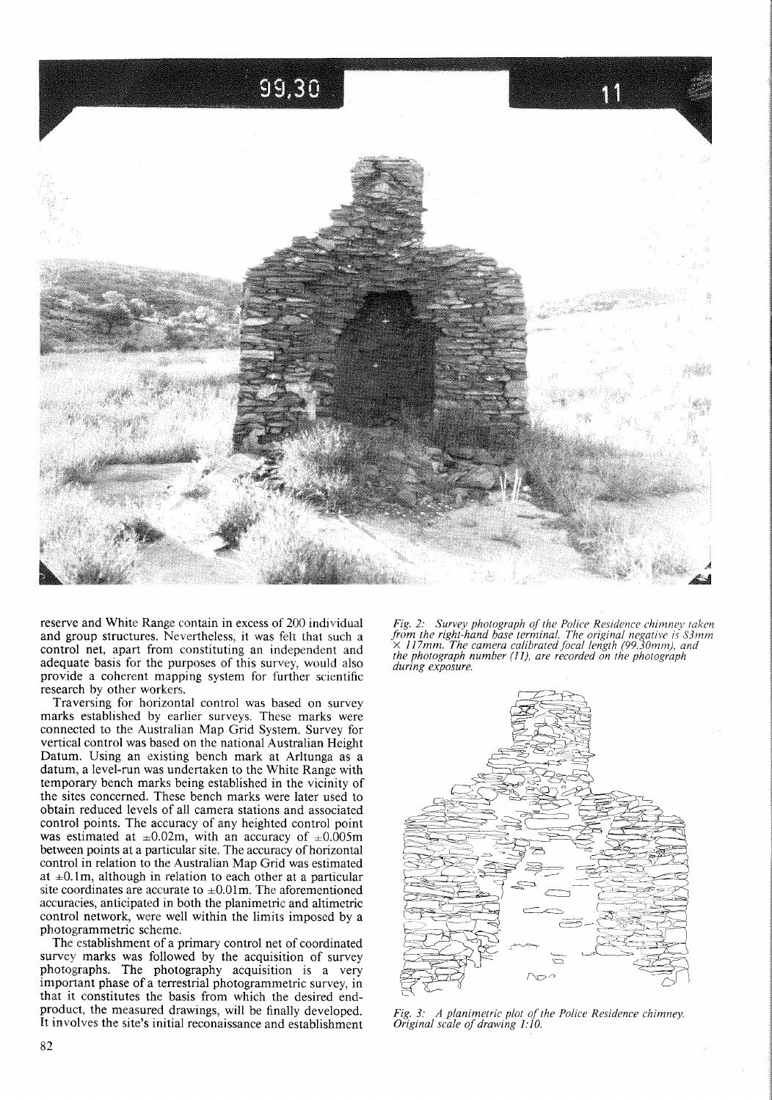

reserve and White Range contain in excess of 200 individual and group structures. Nevertheless, it was felt that such a control net, apart from constituting an independent and adequate basis for the purposes of this survey, would also provide a coherent mapping system for further scientific research by other workers.

Traversing for horizontal control was based on survey marks established by earlier surveys. These marks were connected to the Australian Map Grid System. Survey for vertical control was based on the national Australian Height Datum. Using an existing bench mark at Arltunga as a datum, a level-run was undertaken to the White Range with temporary bench marks being established in the vicinity of the sites concerned. These bench marks were later used to obtain reduced levels of all camera stations and associated control points. The accuracy of any heighted control point was estimated at  $\pm 0.02$ m, with an accuracy of  $\pm 0.005$ m between points at a particular site. The accuracy of horizontal control in relation to the Australian Map Grid was estimated at  $\pm 0.1$ m, although in relation to each other at a particular site coordinates are accurate to  $\pm 0.01$ m. The aforementioned accuracies, anticipated in both the planimetric and altimetric control network, were well within the limits imposed by a photogrammetric scheme.

The establishment of a primary control net of coordinated survey marks was followed by the acquisition of survey photographs. The photography acquisition is a very important phase of a terrestrial photogrammetric survey, in that it constitutes the basis from which the desired endproduct, the measured drawings, will be finally developed. It involves the site's initial reconaissance and establishment *Fig.* 2: *Survey photograph of the Police Residence chimney taken from the right-hand base terminal. The original negative* is *S3mm* X *117mm. The camera calibrated focal length (99.30mm), and the photograph number* (I 1), *are recorded on the photograph during exposure.*



*Fig.* 3: *A planimetric plot ofthe Police Residence chimney. Original scale of drawing 1:10.*